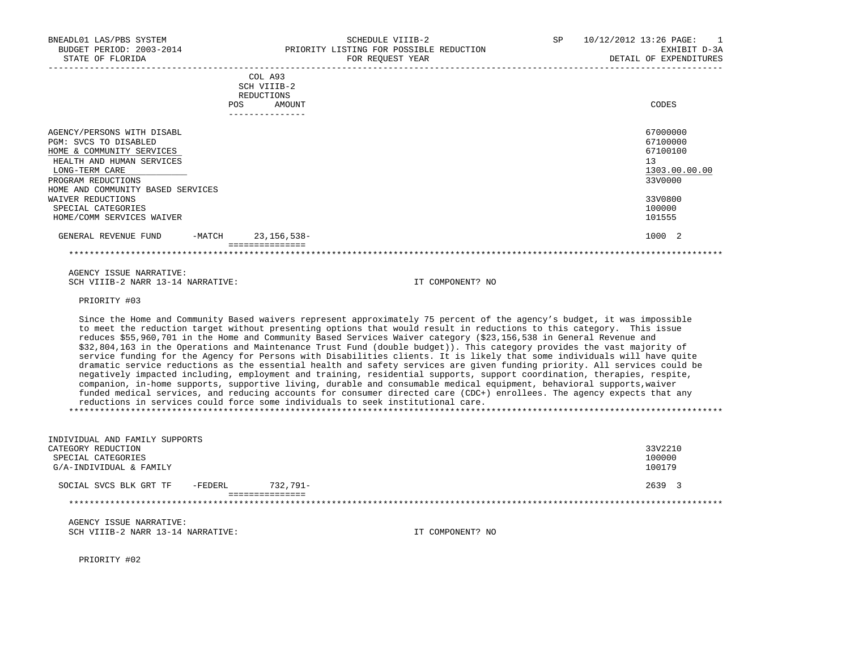|                                   |            | COL A93<br>SCH VIIIB-2<br>REDUCTIONS |               |
|-----------------------------------|------------|--------------------------------------|---------------|
|                                   | <b>POS</b> | AMOUNT                               | CODES         |
|                                   |            | ----------------                     |               |
| AGENCY/PERSONS WITH DISABL        |            |                                      | 67000000      |
| PGM: SVCS TO DISABLED             |            |                                      | 67100000      |
| HOME & COMMUNITY SERVICES         |            |                                      | 67100100      |
| HEALTH AND HUMAN SERVICES         |            |                                      | 13            |
| LONG-TERM CARE                    |            |                                      | 1303.00.00.00 |
| PROGRAM REDUCTIONS                |            |                                      | 33V0000       |
| HOME AND COMMUNITY BASED SERVICES |            |                                      |               |
| WAIVER REDUCTIONS                 |            |                                      | 33V0800       |
| SPECIAL CATEGORIES                |            |                                      | 100000        |
| HOME/COMM SERVICES WAIVER         |            |                                      | 101555        |
| GENERAL REVENUE FUND              | $-MATCH$   | $23, 156, 538 -$                     | 1000 2        |
|                                   |            |                                      |               |

 AGENCY ISSUE NARRATIVE: SCH VIIIB-2 NARR 13-14 NARRATIVE: IT COMPONENT? NO

PRIORITY #03

 Since the Home and Community Based waivers represent approximately 75 percent of the agency's budget, it was impossible to meet the reduction target without presenting options that would result in reductions to this category. This issue reduces \$55,960,701 in the Home and Community Based Services Waiver category (\$23,156,538 in General Revenue and \$32,804,163 in the Operations and Maintenance Trust Fund (double budget)). This category provides the vast majority of service funding for the Agency for Persons with Disabilities clients. It is likely that some individuals will have quite dramatic service reductions as the essential health and safety services are given funding priority. All services could be negatively impacted including, employment and training, residential supports, support coordination, therapies, respite, companion, in-home supports, supportive living, durable and consumable medical equipment, behavioral supports,waiver funded medical services, and reducing accounts for consumer directed care (CDC+) enrollees. The agency expects that any reductions in services could force some individuals to seek institutional care. \*\*\*\*\*\*\*\*\*\*\*\*\*\*\*\*\*\*\*\*\*\*\*\*\*\*\*\*\*\*\*\*\*\*\*\*\*\*\*\*\*\*\*\*\*\*\*\*\*\*\*\*\*\*\*\*\*\*\*\*\*\*\*\*\*\*\*\*\*\*\*\*\*\*\*\*\*\*\*\*\*\*\*\*\*\*\*\*\*\*\*\*\*\*\*\*\*\*\*\*\*\*\*\*\*\*\*\*\*\*\*\*\*\*\*\*\*\*\*\*\*\*\*\*\*\*\*

| INDIVIDUAL AND FAMILY SUPPORTS    |             |         |
|-----------------------------------|-------------|---------|
| CATEGORY REDUCTION                |             | 33V2210 |
| SPECIAL CATEGORIES                |             | 100000  |
| G/A-INDIVIDUAL & FAMILY           |             | 100179  |
|                                   | $732.791 -$ | 2639 3  |
| -FEDERL<br>SOCIAL SVCS BLK GRT TF |             |         |
|                                   |             |         |
|                                   |             |         |

 AGENCY ISSUE NARRATIVE: SCH VIIIB-2 NARR 13-14 NARRATIVE: IT COMPONENT? NO

PRIORITY #02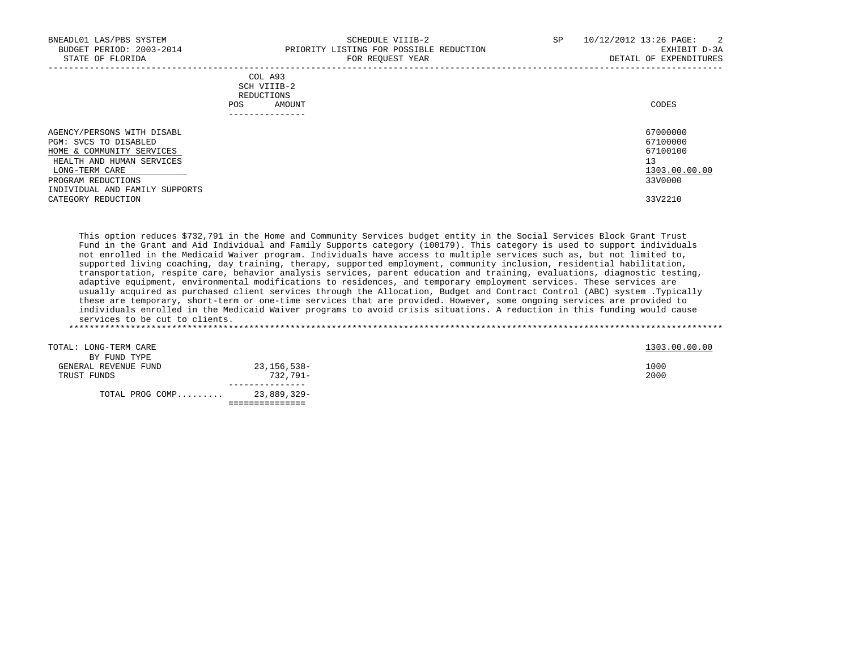| BNEADL01 LAS/PBS SYSTEM<br>BUDGET PERIOD: 2003-2014<br>STATE OF FLORIDA                                                         | SCHEDULE VIIIB-2<br>PRIORITY LISTING FOR POSSIBLE REDUCTION<br>FOR REOUEST YEAR    | SP. | $\overline{2}$<br>10/12/2012 13:26 PAGE:<br>EXHIBIT D-3A<br>DETAIL OF EXPENDITURES |
|---------------------------------------------------------------------------------------------------------------------------------|------------------------------------------------------------------------------------|-----|------------------------------------------------------------------------------------|
|                                                                                                                                 | COL A93<br>SCH VIIIB-2<br>REDUCTIONS<br>AMOUNT<br>POS<br>. _ _ _ _ _ _ _ _ _ _ _ _ |     | CODES                                                                              |
| AGENCY/PERSONS WITH DISABL<br>PGM: SVCS TO DISABLED<br>HOME & COMMUNITY SERVICES<br>HEALTH AND HUMAN SERVICES<br>LONG-TERM CARE |                                                                                    |     | 67000000<br>67100000<br>67100100<br>13<br>1303.00.00.00                            |

PROGRAM REDUCTIONS 33V0000 INDIVIDUAL AND FAMILY SUPPORTS CATEGORY REDUCTION 33V2210

 This option reduces \$732,791 in the Home and Community Services budget entity in the Social Services Block Grant Trust Fund in the Grant and Aid Individual and Family Supports category (100179). This category is used to support individuals not enrolled in the Medicaid Waiver program. Individuals have access to multiple services such as, but not limited to, supported living coaching, day training, therapy, supported employment, community inclusion, residential habilitation, transportation, respite care, behavior analysis services, parent education and training, evaluations, diagnostic testing, adaptive equipment, environmental modifications to residences, and temporary employment services. These services are usually acquired as purchased client services through the Allocation, Budget and Contract Control (ABC) system .Typically these are temporary, short-term or one-time services that are provided. However, some ongoing services are provided to individuals enrolled in the Medicaid Waiver programs to avoid crisis situations. A reduction in this funding would cause services to be cut to clients. \*\*\*\*\*\*\*\*\*\*\*\*\*\*\*\*\*\*\*\*\*\*\*\*\*\*\*\*\*\*\*\*\*\*\*\*\*\*\*\*\*\*\*\*\*\*\*\*\*\*\*\*\*\*\*\*\*\*\*\*\*\*\*\*\*\*\*\*\*\*\*\*\*\*\*\*\*\*\*\*\*\*\*\*\*\*\*\*\*\*\*\*\*\*\*\*\*\*\*\*\*\*\*\*\*\*\*\*\*\*\*\*\*\*\*\*\*\*\*\*\*\*\*\*\*\*\*

| TOTAL PROG COMP       | 23,889,329- |               |
|-----------------------|-------------|---------------|
|                       |             |               |
| TRUST FUNDS           | 732,791-    | 2000          |
| GENERAL REVENUE FUND  | 23,156,538- | 1000          |
| BY FUND TYPE          |             |               |
| TOTAL: LONG-TERM CARE |             | 1303.00.00.00 |
|                       |             |               |